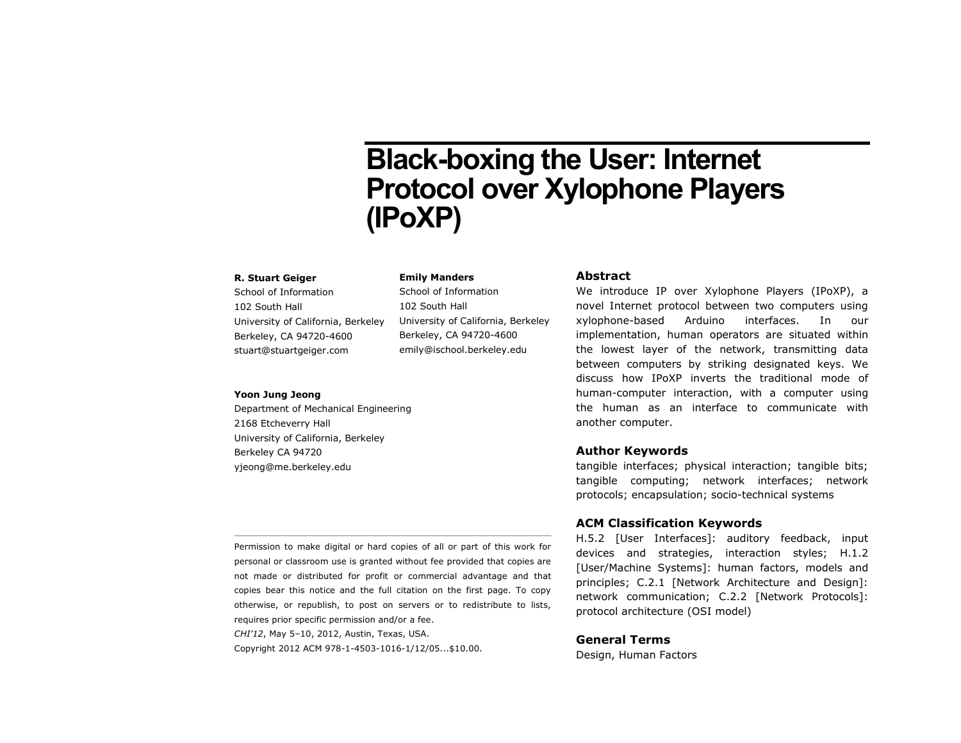# **Black-boxing the User: Internet Protocol over Xylophone Players (IPoXP)**

## **R. Stuart Geiger**

School of Information 102 South Hall University of California, Berkeley Berkeley, CA 94720-4600 stuart@stuartgeiger.com

#### **Yoon Jung Jeong**

Department of Mechanical Engineering 2168 Etcheverry Hall University of California, Berkeley Berkeley CA 94720 yjeong@me.berkeley.edu

# **Emily Manders**

School of Information 102 South Hall University of California, Berkeley Berkeley, CA 94720-4600 emily@ischool.berkeley.edu

#### **Abstract**

We introduce IP over Xylophone Players (IPoXP), a novel Internet protocol between two computers using xylophone-based Arduino interfaces. In our implementation, human operators are situated within the lowest layer of the network, transmitting data between computers by striking designated keys. We discuss how IPoXP inverts the traditional mode of human-computer interaction, with a computer using the human as an interface to communicate with another computer.

# **Author Keywords**

tangible interfaces; physical interaction; tangible bits; tangible computing; network interfaces; network protocols; encapsulation; socio-technical systems

# **ACM Classification Keywords**

H.5.2 [User Interfaces]: auditory feedback, input devices and strategies, interaction styles; H.1.2 [User/Machine Systems]: human factors, models and principles; C.2.1 [Network Architecture and Design]: network communication; C.2.2 [Network Protocols]: protocol architecture (OSI model)

Permission to make digital or hard copies of all or part of this work for personal or classroom use is granted without fee provided that copies are not made or distributed for profit or commercial advantage and that copies bear this notice and the full citation on the first page. To copy otherwise, or republish, to post on servers or to redistribute to lists, requires prior specific permission and/or a fee. *CHI'12*, May 5–10, 2012, Austin, Texas, USA.

Copyright 2012 ACM 978-1-4503-1016-1/12/05...\$10.00.

**General Terms** Design, Human Factors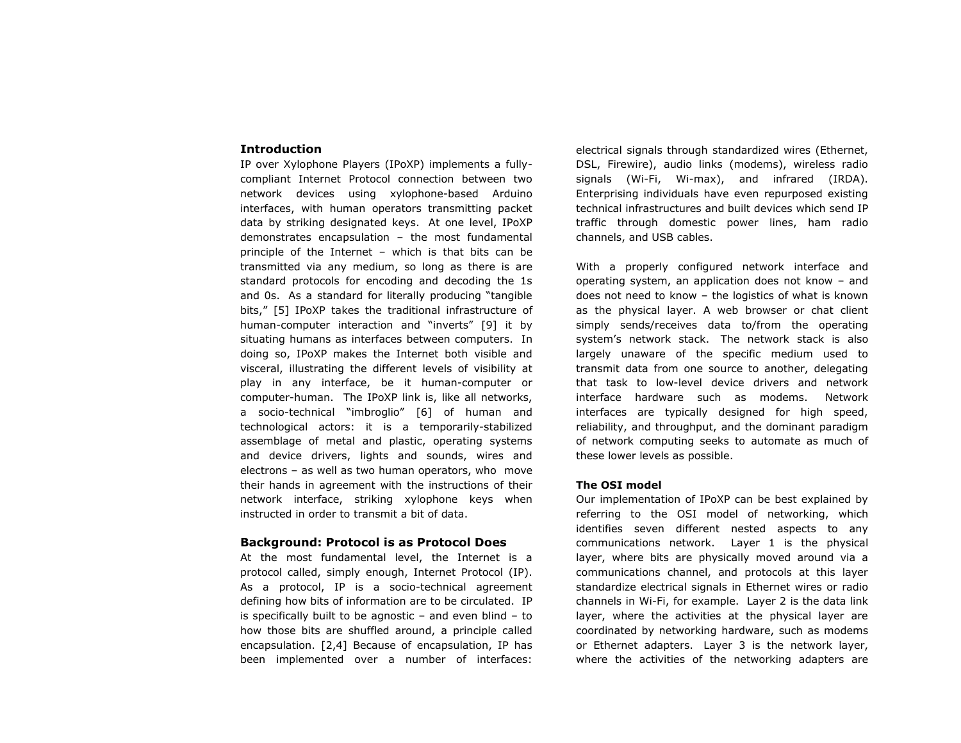# **Introduction**

IP over Xylophone Players (IPoXP) implements a fullycompliant Internet Protocol connection between two network devices using xylophone-based Arduino interfaces, with human operators transmitting packet data by striking designated keys. At one level, IPoXP demonstrates encapsulation – the most fundamental principle of the Internet – which is that bits can be transmitted via any medium, so long as there is are standard protocols for encoding and decoding the 1s and 0s. As a standard for literally producing "tangible bits," [5] IPoXP takes the traditional infrastructure of human-computer interaction and "inverts" [9] it by situating humans as interfaces between computers. In doing so, IPoXP makes the Internet both visible and visceral, illustrating the different levels of visibility at play in any interface, be it human-computer or computer-human. The IPoXP link is, like all networks, a socio-technical "imbroglio" [6] of human and technological actors: it is a temporarily-stabilized assemblage of metal and plastic, operating systems and device drivers, lights and sounds, wires and electrons – as well as two human operators, who move their hands in agreement with the instructions of their network interface, striking xylophone keys when instructed in order to transmit a bit of data.

# **Background: Protocol is as Protocol Does**

At the most fundamental level, the Internet is a protocol called, simply enough, Internet Protocol (IP). As a protocol, IP is a socio-technical agreement defining how bits of information are to be circulated. IP is specifically built to be agnostic – and even blind – to how those bits are shuffled around, a principle called encapsulation. [2,4] Because of encapsulation, IP has been implemented over a number of interfaces:

electrical signals through standardized wires (Ethernet, DSL, Firewire), audio links (modems), wireless radio signals (Wi-Fi, Wi-max), and infrared (IRDA). Enterprising individuals have even repurposed existing technical infrastructures and built devices which send IP traffic through domestic power lines, ham radio channels, and USB cables.

With a properly configured network interface and operating system, an application does not know – and does not need to know – the logistics of what is known as the physical layer. A web browser or chat client simply sends/receives data to/from the operating system"s network stack. The network stack is also largely unaware of the specific medium used to transmit data from one source to another, delegating that task to low-level device drivers and network interface hardware such as modems. Network interfaces are typically designed for high speed, reliability, and throughput, and the dominant paradigm of network computing seeks to automate as much of these lower levels as possible.

# **The OSI model**

Our implementation of IPoXP can be best explained by referring to the OSI model of networking, which identifies seven different nested aspects to any communications network. Layer 1 is the physical layer, where bits are physically moved around via a communications channel, and protocols at this layer standardize electrical signals in Ethernet wires or radio channels in Wi-Fi, for example. Layer 2 is the data link layer, where the activities at the physical layer are coordinated by networking hardware, such as modems or Ethernet adapters. Layer 3 is the network layer, where the activities of the networking adapters are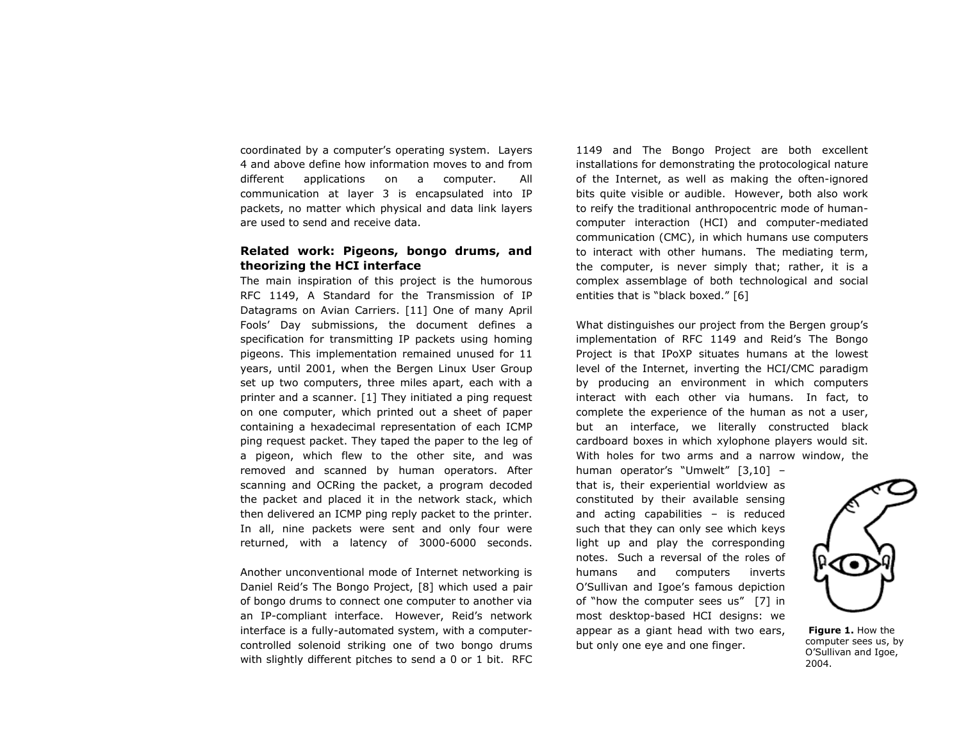coordinated by a computer's operating system. Layers 4 and above define how information moves to and from different applications on a computer. All communication at layer 3 is encapsulated into IP packets, no matter which physical and data link layers are used to send and receive data.

# **Related work: Pigeons, bongo drums, and theorizing the HCI interface**

The main inspiration of this project is the humorous RFC 1149, A Standard for the Transmission of IP Datagrams on Avian Carriers. [11] One of many April Fools" Day submissions, the document defines a specification for transmitting IP packets using homing pigeons. This implementation remained unused for 11 years, until 2001, when the Bergen Linux User Group set up two computers, three miles apart, each with a printer and a scanner. [1] They initiated a ping request on one computer, which printed out a sheet of paper containing a hexadecimal representation of each ICMP ping request packet. They taped the paper to the leg of a pigeon, which flew to the other site, and was removed and scanned by human operators. After scanning and OCRing the packet, a program decoded the packet and placed it in the network stack, which then delivered an ICMP ping reply packet to the printer. In all, nine packets were sent and only four were returned, with a latency of 3000-6000 seconds.

Another unconventional mode of Internet networking is Daniel Reid"s The Bongo Project, [8] which used a pair of bongo drums to connect one computer to another via an IP-compliant interface. However, Reid's network interface is a fully-automated system, with a computercontrolled solenoid striking one of two bongo drums with slightly different pitches to send a 0 or 1 bit. RFC 1149 and The Bongo Project are both excellent installations for demonstrating the protocological nature of the Internet, as well as making the often-ignored bits quite visible or audible. However, both also work to reify the traditional anthropocentric mode of humancomputer interaction (HCI) and computer-mediated communication (CMC), in which humans use computers to interact with other humans. The mediating term, the computer, is never simply that; rather, it is a complex assemblage of both technological and social entities that is "black boxed." [6]

What distinguishes our project from the Bergen group"s implementation of RFC 1149 and Reid's The Bongo Project is that IPoXP situates humans at the lowest level of the Internet, inverting the HCI/CMC paradigm by producing an environment in which computers interact with each other via humans. In fact, to complete the experience of the human as not a user, but an interface, we literally constructed black cardboard boxes in which xylophone players would sit. With holes for two arms and a narrow window, the

human operator's "Umwelt" [3,10] that is, their experiential worldview as constituted by their available sensing and acting capabilities – is reduced such that they can only see which keys light up and play the corresponding notes. Such a reversal of the roles of humans and computers inverts O"Sullivan and Igoe"s famous depiction of "how the computer sees us" [7] in most desktop-based HCI designs: we appear as a giant head with two ears, but only one eye and one finger.



**Figure 1.** How the computer sees us, by O"Sullivan and Igoe, 2004.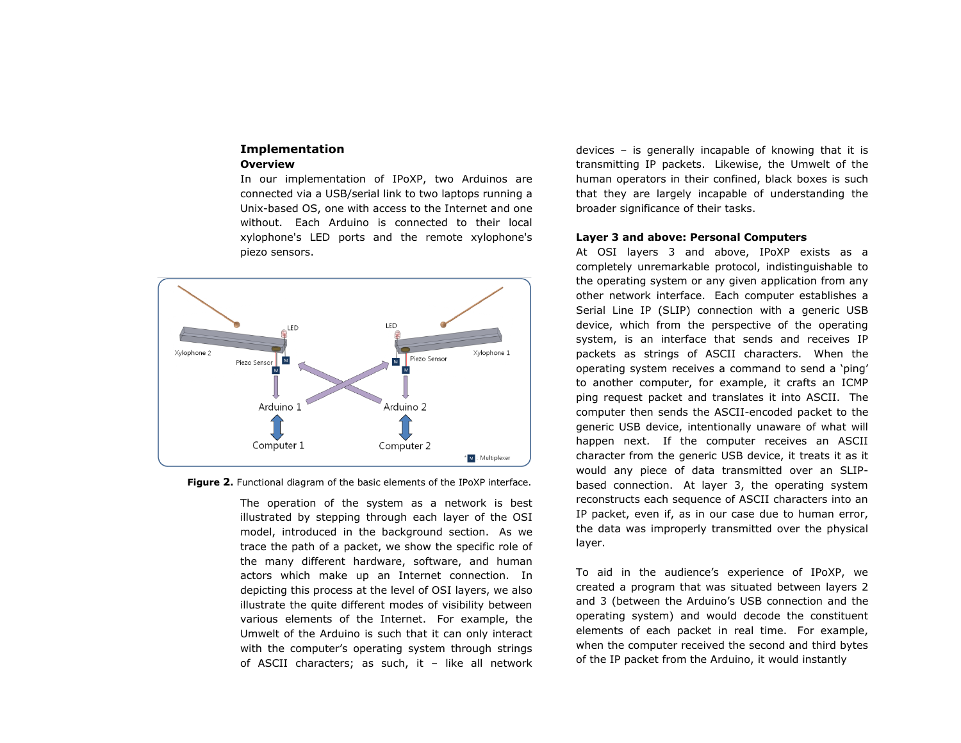# **Implementation Overview**

In our implementation of IPoXP, two Arduinos are connected via a USB/serial link to two laptops running a Unix-based OS, one with access to the Internet and one without. Each Arduino is connected to their local xylophone's LED ports and the remote xylophone's piezo sensors.





The operation of the system as a network is best illustrated by stepping through each layer of the OSI model, introduced in the background section. As we trace the path of a packet, we show the specific role of the many different hardware, software, and human actors which make up an Internet connection. In depicting this process at the level of OSI layers, we also illustrate the quite different modes of visibility between various elements of the Internet. For example, the Umwelt of the Arduino is such that it can only interact with the computer's operating system through strings of ASCII characters; as such, it – like all network devices – is generally incapable of knowing that it is transmitting IP packets. Likewise, the Umwelt of the human operators in their confined, black boxes is such that they are largely incapable of understanding the broader significance of their tasks.

# **Layer 3 and above: Personal Computers**

At OSI layers 3 and above, IPoXP exists as a completely unremarkable protocol, indistinguishable to the operating system or any given application from any other network interface. Each computer establishes a Serial Line IP (SLIP) connection with a generic USB device, which from the perspective of the operating system, is an interface that sends and receives IP packets as strings of ASCII characters. When the operating system receives a command to send a "ping" to another computer, for example, it crafts an ICMP ping request packet and translates it into ASCII. The computer then sends the ASCII-encoded packet to the generic USB device, intentionally unaware of what will happen next. If the computer receives an ASCII character from the generic USB device, it treats it as it would any piece of data transmitted over an SLIPbased connection. At layer 3, the operating system reconstructs each sequence of ASCII characters into an IP packet, even if, as in our case due to human error, the data was improperly transmitted over the physical layer.

To aid in the audience"s experience of IPoXP, we created a program that was situated between layers 2 and 3 (between the Arduino"s USB connection and the operating system) and would decode the constituent elements of each packet in real time. For example, when the computer received the second and third bytes of the IP packet from the Arduino, it would instantly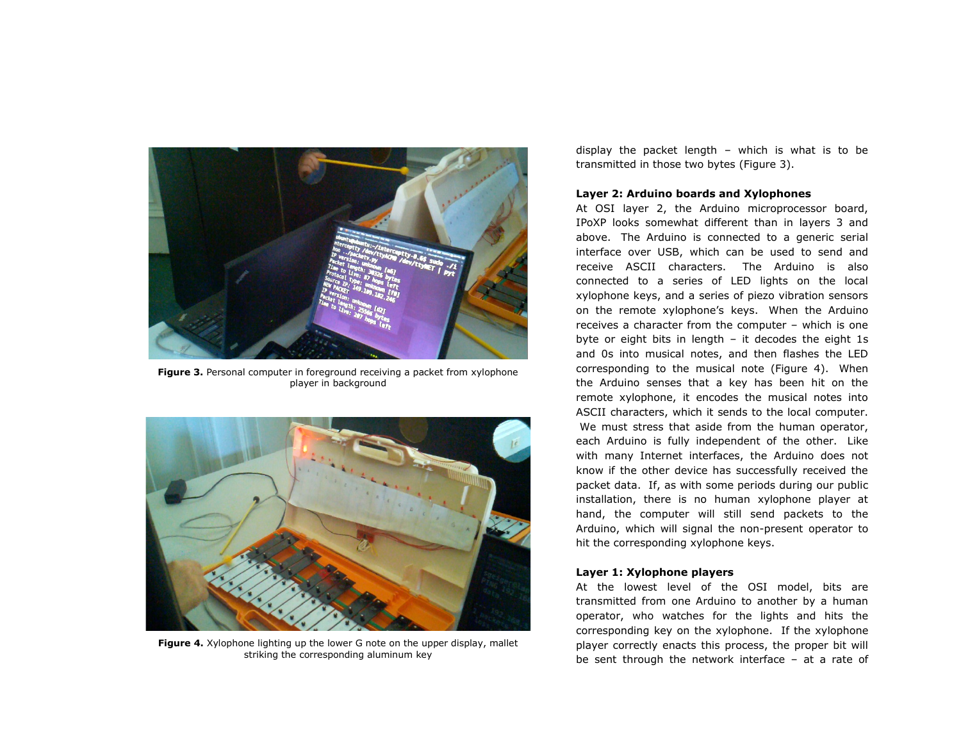

Figure 3. Personal computer in foreground receiving a packet from xylophone player in background



**Figure 4.** Xylophone lighting up the lower G note on the upper display, mallet striking the corresponding aluminum key

display the packet length – which is what is to be transmitted in those two bytes (Figure 3).

# **Layer 2: Arduino boards and Xylophones**

At OSI layer 2, the Arduino microprocessor board, IPoXP looks somewhat different than in layers 3 and above. The Arduino is connected to a generic serial interface over USB, which can be used to send and receive ASCII characters. The Arduino is also connected to a series of LED lights on the local xylophone keys, and a series of piezo vibration sensors on the remote xylophone's keys. When the Arduino receives a character from the computer – which is one byte or eight bits in length  $-$  it decodes the eight 1s and 0s into musical notes, and then flashes the LED corresponding to the musical note (Figure 4). When the Arduino senses that a key has been hit on the remote xylophone, it encodes the musical notes into ASCII characters, which it sends to the local computer. We must stress that aside from the human operator, each Arduino is fully independent of the other. Like with many Internet interfaces, the Arduino does not know if the other device has successfully received the packet data. If, as with some periods during our public installation, there is no human xylophone player at hand, the computer will still send packets to the Arduino, which will signal the non-present operator to hit the corresponding xylophone keys.

### **Layer 1: Xylophone players**

At the lowest level of the OSI model, bits are transmitted from one Arduino to another by a human operator, who watches for the lights and hits the corresponding key on the xylophone. If the xylophone player correctly enacts this process, the proper bit will be sent through the network interface – at a rate of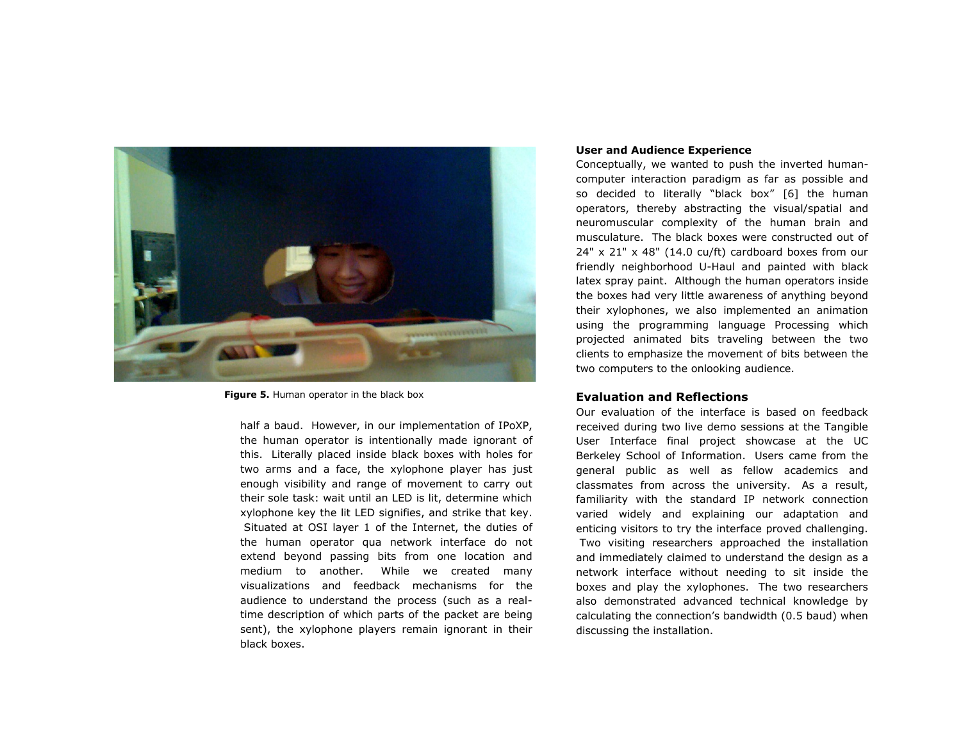

**Figure 5.** Human operator in the black box

half a baud. However, in our implementation of IPoXP, the human operator is intentionally made ignorant of this. Literally placed inside black boxes with holes for two arms and a face, the xylophone player has just enough visibility and range of movement to carry out their sole task: wait until an LED is lit, determine which xylophone key the lit LED signifies, and strike that key. Situated at OSI layer 1 of the Internet, the duties of the human operator qua network interface do not extend beyond passing bits from one location and medium to another. While we created many visualizations and feedback mechanisms for the audience to understand the process (such as a realtime description of which parts of the packet are being sent), the xylophone players remain ignorant in their black boxes.

# **User and Audience Experience**

Conceptually, we wanted to push the inverted humancomputer interaction paradigm as far as possible and so decided to literally "black box" [6] the human operators, thereby abstracting the visual/spatial and neuromuscular complexity of the human brain and musculature. The black boxes were constructed out of  $24"$  x  $21"$  x  $48"$  (14.0 cu/ft) cardboard boxes from our friendly neighborhood U-Haul and painted with black latex spray paint. Although the human operators inside the boxes had very little awareness of anything beyond their xylophones, we also implemented an animation using the programming language Processing which projected animated bits traveling between the two clients to emphasize the movement of bits between the two computers to the onlooking audience.

# **Evaluation and Reflections**

Our evaluation of the interface is based on feedback received during two live demo sessions at the Tangible User Interface final project showcase at the UC Berkeley School of Information. Users came from the general public as well as fellow academics and classmates from across the university. As a result, familiarity with the standard IP network connection varied widely and explaining our adaptation and enticing visitors to try the interface proved challenging. Two visiting researchers approached the installation and immediately claimed to understand the design as a network interface without needing to sit inside the boxes and play the xylophones. The two researchers also demonstrated advanced technical knowledge by calculating the connection"s bandwidth (0.5 baud) when discussing the installation.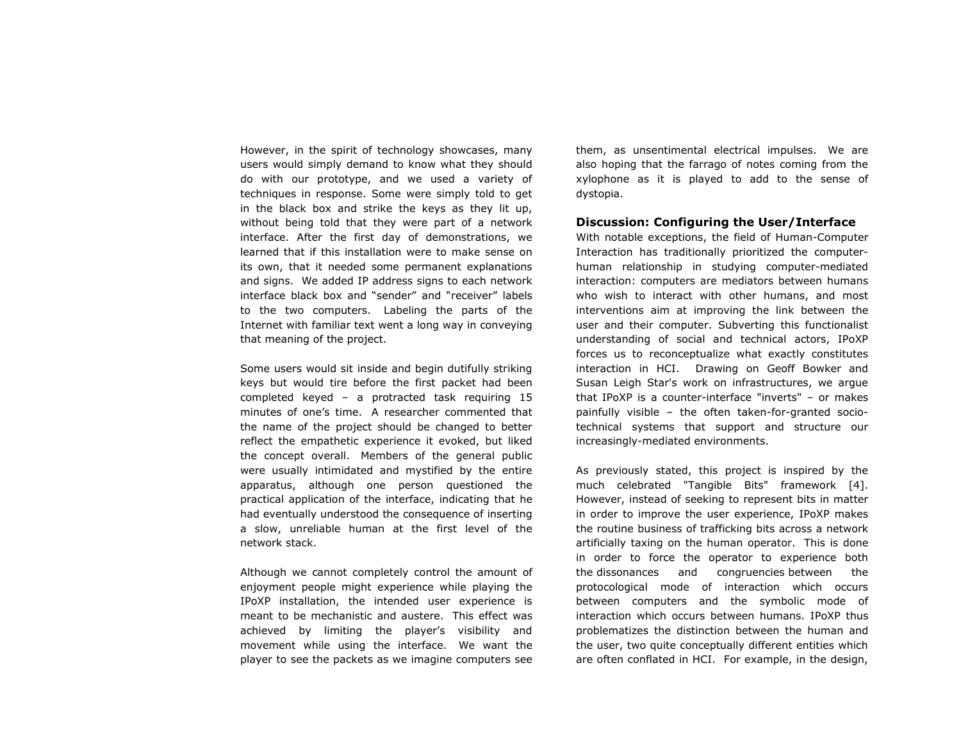However, in the spirit of technology showcases, many users would simply demand to know what they should do with our prototype, and we used a variety of techniques in response. Some were simply told to get in the black box and strike the keys as they lit up, without being told that they were part of a network interface. After the first day of demonstrations, we learned that if this installation were to make sense on its own, that it needed some permanent explanations and signs. We added IP address signs to each network interface black box and "sender" and "receiver" labels to the two computers. Labeling the parts of the Internet with familiar text went a long way in conveying that meaning of the project.

Some users would sit inside and begin dutifully striking keys but would tire before the first packet had been completed keyed – a protracted task requiring 15 minutes of one"s time. A researcher commented that the name of the project should be changed to better reflect the empathetic experience it evoked, but liked the concept overall. Members of the general public were usually intimidated and mystified by the entire apparatus, although one person questioned the practical application of the interface, indicating that he had eventually understood the consequence of inserting a slow, unreliable human at the first level of the network stack.

Although we cannot completely control the amount of enjoyment people might experience while playing the IPoXP installation, the intended user experience is meant to be mechanistic and austere. This effect was achieved by limiting the player"s visibility and movement while using the interface. We want the player to see the packets as we imagine computers see them, as unsentimental electrical impulses. We are also hoping that the farrago of notes coming from the xylophone as it is played to add to the sense of dystopia.

#### **Discussion: Configuring the User/Interface**

With notable exceptions, the field of Human-Computer Interaction has traditionally prioritized the computerhuman relationship in studying computer-mediated interaction: computers are mediators between humans who wish to interact with other humans, and most interventions aim at improving the link between the user and their computer. Subverting this functionalist understanding of social and technical actors, IPoXP forces us to reconceptualize what exactly constitutes interaction in HCI. Drawing on Geoff Bowker and Susan Leigh Star's work on infrastructures, we argue that IPoXP is a counter-interface "inverts" – or makes painfully visible – the often taken-for-granted sociotechnical systems that support and structure our increasingly-mediated environments.

As previously stated, this project is inspired by the much celebrated "Tangible Bits" framework [4]. However, instead of seeking to represent bits in matter in order to improve the user experience, IPoXP makes the routine business of trafficking bits across a network artificially taxing on the human operator. This is done in order to force the operator to experience both the dissonances and congruencies between the protocological mode of interaction which occurs between computers and the symbolic mode of interaction which occurs between humans. IPoXP thus problematizes the distinction between the human and the user, two quite conceptually different entities which are often conflated in HCI. For example, in the design,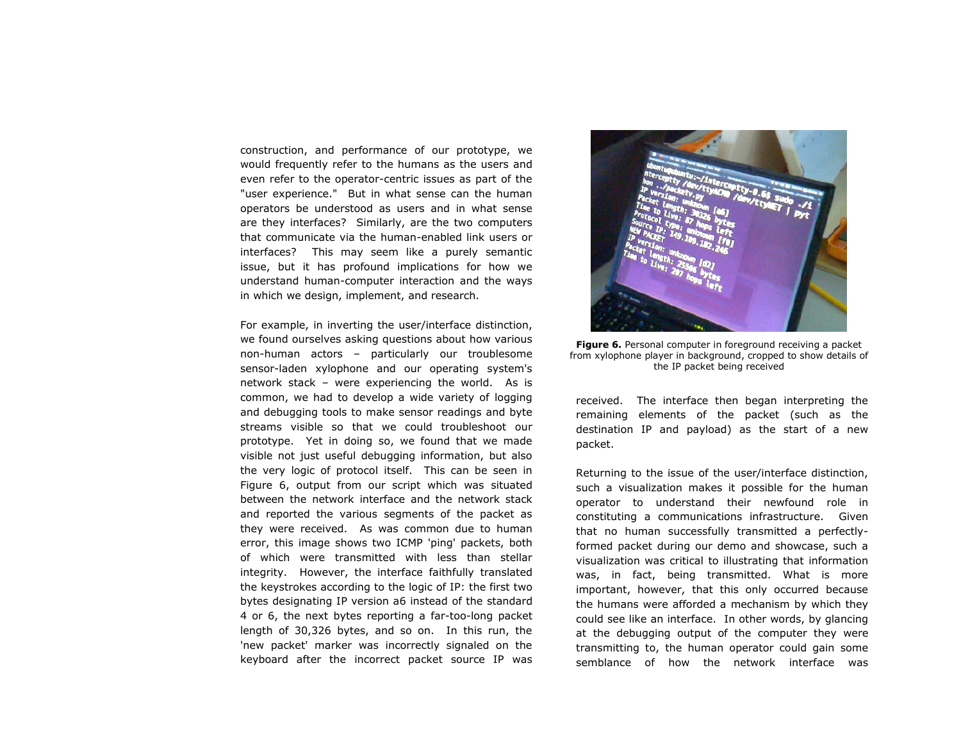construction, and performance of our prototype, we would frequently refer to the humans as the users and even refer to the operator-centric issues as part of the "user experience." But in what sense can the human operators be understood as users and in what sense are they interfaces? Similarly, are the two computers that communicate via the human-enabled link users or interfaces? This may seem like a purely semantic issue, but it has profound implications for how we understand human-computer interaction and the ways in which we design, implement, and research.

For example, in inverting the user/interface distinction, we found ourselves asking questions about how various non-human actors – particularly our troublesome sensor-laden xylophone and our operating system's network stack – were experiencing the world. As is common, we had to develop a wide variety of logging and debugging tools to make sensor readings and byte streams visible so that we could troubleshoot our prototype. Yet in doing so, we found that we made visible not just useful debugging information, but also the very logic of protocol itself. This can be seen in Figure 6, output from our script which was situated between the network interface and the network stack and reported the various segments of the packet as they were received. As was common due to human error, this image shows two ICMP 'ping' packets, both of which were transmitted with less than stellar integrity. However, the interface faithfully translated the keystrokes according to the logic of IP: the first two bytes designating IP version a6 instead of the standard 4 or 6, the next bytes reporting a far-too-long packet length of 30,326 bytes, and so on. In this run, the 'new packet' marker was incorrectly signaled on the keyboard after the incorrect packet source IP was



**Figure 6.** Personal computer in foreground receiving a packet from xylophone player in background, cropped to show details of the IP packet being received

received. The interface then began interpreting the remaining elements of the packet (such as the destination IP and payload) as the start of a new packet.

Returning to the issue of the user/interface distinction, such a visualization makes it possible for the human operator to understand their newfound role in constituting a communications infrastructure. Given that no human successfully transmitted a perfectlyformed packet during our demo and showcase, such a visualization was critical to illustrating that information was, in fact, being transmitted. What is more important, however, that this only occurred because the humans were afforded a mechanism by which they could see like an interface. In other words, by glancing at the debugging output of the computer they were transmitting to, the human operator could gain some semblance of how the network interface was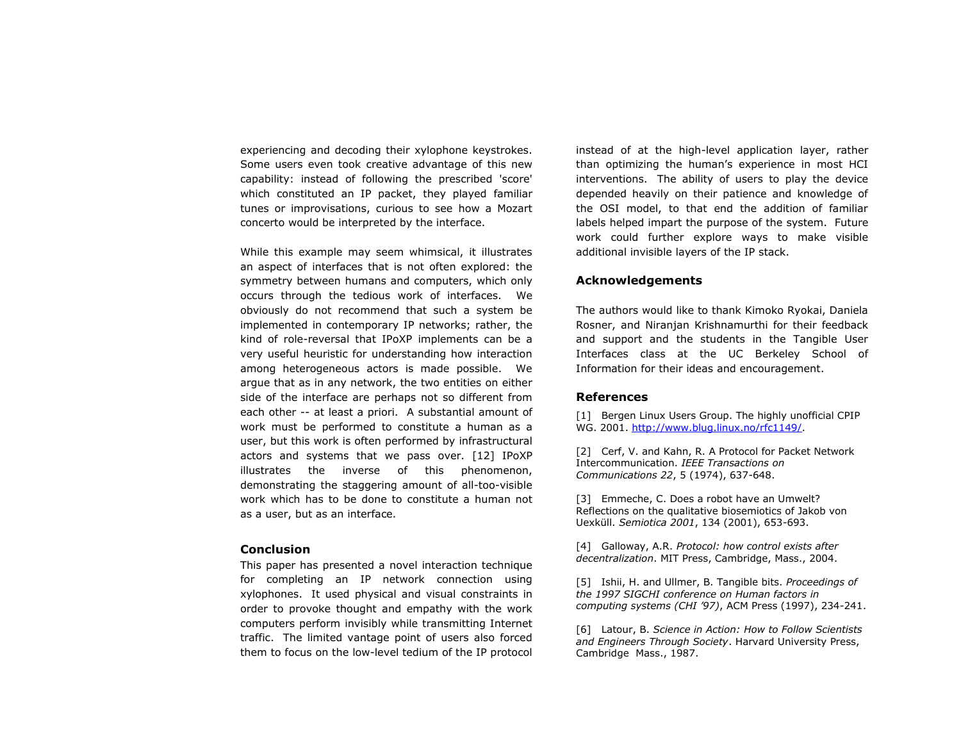experiencing and decoding their xylophone keystrokes. Some users even took creative advantage of this new capability: instead of following the prescribed 'score' which constituted an IP packet, they played familiar tunes or improvisations, curious to see how a Mozart concerto would be interpreted by the interface.

While this example may seem whimsical, it illustrates an aspect of interfaces that is not often explored: the symmetry between humans and computers, which only occurs through the tedious work of interfaces. We obviously do not recommend that such a system be implemented in contemporary IP networks; rather, the kind of role-reversal that IPoXP implements can be a very useful heuristic for understanding how interaction among heterogeneous actors is made possible. We argue that as in any network, the two entities on either side of the interface are perhaps not so different from each other -- at least a priori. A substantial amount of work must be performed to constitute a human as a user, but this work is often performed by infrastructural actors and systems that we pass over. [12] IPoXP illustrates the inverse of this phenomenon, demonstrating the staggering amount of all-too-visible work which has to be done to constitute a human not as a user, but as an interface.

# **Conclusion**

This paper has presented a novel interaction technique for completing an IP network connection using xylophones. It used physical and visual constraints in order to provoke thought and empathy with the work computers perform invisibly while transmitting Internet traffic. The limited vantage point of users also forced them to focus on the low-level tedium of the IP protocol

instead of at the high-level application layer, rather than optimizing the human's experience in most HCI interventions. The ability of users to play the device depended heavily on their patience and knowledge of the OSI model, to that end the addition of familiar labels helped impart the purpose of the system. Future work could further explore ways to make visible additional invisible layers of the IP stack.

# **Acknowledgements**

The authors would like to thank Kimoko Ryokai, Daniela Rosner, and Niranjan Krishnamurthi for their feedback and support and the students in the Tangible User Interfaces class at the UC Berkeley School of Information for their ideas and encouragement.

# **References**

[1] Bergen Linux Users Group. The highly unofficial CPIP WG. 2001[. http://www.blug.linux.no/rfc1149/.](http://www.blug.linux.no/rfc1149/)

[2] Cerf, V. and Kahn, R. A Protocol for Packet Network Intercommunication. *IEEE Transactions on Communications 22*, 5 (1974), 637-648.

[3] Emmeche, C. Does a robot have an Umwelt? Reflections on the qualitative biosemiotics of Jakob von Uexküll. *Semiotica 2001*, 134 (2001), 653-693.

[4] Galloway, A.R. *Protocol: how control exists after decentralization*. MIT Press, Cambridge, Mass., 2004.

[5] Ishii, H. and Ullmer, B. Tangible bits. *Proceedings of the 1997 SIGCHI conference on Human factors in computing systems (CHI '97)*, ACM Press (1997), 234-241.

[6] Latour, B. *Science in Action: How to Follow Scientists and Engineers Through Society*. Harvard University Press, Cambridge Mass., 1987.